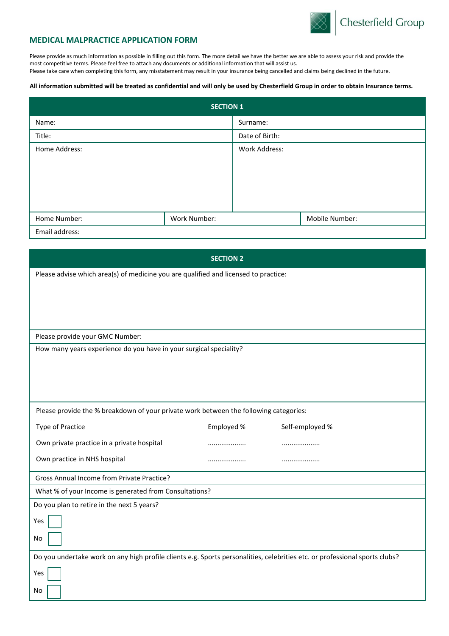

## **MEDICAL MALPRACTICE APPLICATION FORM**

Please provide as much information as possible in filling out this form. The more detail we have the better we are able to assess your risk and provide the most competitive terms. Please feel free to attach any documents or additional information that will assist us. Please take care when completing this form, any misstatement may result in your insurance being cancelled and claims being declined in the future.

## **All information submitted will be treated as confidential and will only be used by Chesterfield Group in order to obtain Insurance terms.**

| <b>SECTION 1</b> |              |                |                |  |
|------------------|--------------|----------------|----------------|--|
| Name:            |              | Surname:       |                |  |
| Title:           |              | Date of Birth: |                |  |
| Home Address:    |              | Work Address:  |                |  |
|                  |              |                |                |  |
|                  |              |                |                |  |
|                  |              |                |                |  |
|                  |              |                |                |  |
| Home Number:     | Work Number: |                | Mobile Number: |  |
| Email address:   |              |                |                |  |

| <b>SECTION 2</b>                                                                                                            |            |                 |  |  |
|-----------------------------------------------------------------------------------------------------------------------------|------------|-----------------|--|--|
| Please advise which area(s) of medicine you are qualified and licensed to practice:                                         |            |                 |  |  |
|                                                                                                                             |            |                 |  |  |
|                                                                                                                             |            |                 |  |  |
|                                                                                                                             |            |                 |  |  |
| Please provide your GMC Number:                                                                                             |            |                 |  |  |
| How many years experience do you have in your surgical speciality?                                                          |            |                 |  |  |
|                                                                                                                             |            |                 |  |  |
|                                                                                                                             |            |                 |  |  |
|                                                                                                                             |            |                 |  |  |
| Please provide the % breakdown of your private work between the following categories:                                       |            |                 |  |  |
| <b>Type of Practice</b>                                                                                                     | Employed % | Self-employed % |  |  |
| Own private practice in a private hospital                                                                                  | .          |                 |  |  |
| Own practice in NHS hospital                                                                                                |            |                 |  |  |
| Gross Annual Income from Private Practice?                                                                                  |            |                 |  |  |
| What % of your Income is generated from Consultations?                                                                      |            |                 |  |  |
| Do you plan to retire in the next 5 years?                                                                                  |            |                 |  |  |
| Yes                                                                                                                         |            |                 |  |  |
| No                                                                                                                          |            |                 |  |  |
| Do you undertake work on any high profile clients e.g. Sports personalities, celebrities etc. or professional sports clubs? |            |                 |  |  |
| Yes                                                                                                                         |            |                 |  |  |
| No                                                                                                                          |            |                 |  |  |